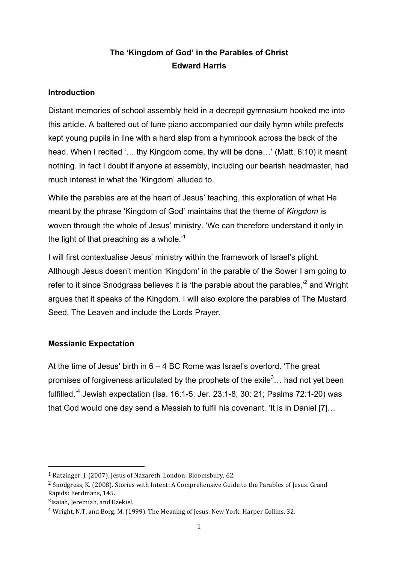# **The 'Kingdom of God' in the Parables of Christ Edward Harris**

### **Introduction**

Distant memories of school assembly held in a decrepit gymnasium hooked me into this article. A battered out of tune piano accompanied our daily hymn while prefects kept young pupils in line with a hard slap from a hymnbook across the back of the head. When I recited '… thy Kingdom come, thy will be done…' (Matt. 6:10) it meant nothing. In fact I doubt if anyone at assembly, including our bearish headmaster, had much interest in what the 'Kingdom' alluded to.

While the parables are at the heart of Jesus' teaching, this exploration of what He meant by the phrase 'Kingdom of God' maintains that the theme of *Kingdom* is woven through the whole of Jesus' ministry. 'We can therefore understand it only in the light of that preaching as a whole.<sup>1</sup>

I will first contextualise Jesus' ministry within the framework of Israel's plight. Although Jesus doesn't mention 'Kingdom' in the parable of the Sower I am going to refer to it since Snodgrass believes it is 'the parable about the parables, $i^2$  and Wright argues that it speaks of the Kingdom. I will also explore the parables of The Mustard Seed, The Leaven and include the Lords Prayer.

# **Messianic Expectation**

At the time of Jesus' birth in 6 – 4 BC Rome was Israel's overlord. 'The great promises of forgiveness articulated by the prophets of the exile<sup>3</sup> $\ldots$  had not yet been fulfilled.' <sup>4</sup> Jewish expectation (Isa. 16:1-5; Jer. 23:1-8; 30: 21; Psalms 72:1-20) was that God would one day send a Messiah to fulfil his covenant. 'It is in Daniel [7]…

<sup>&</sup>lt;sup>1</sup> Ratzinger, J. (2007). Jesus of Nazareth. London: Bloomsbury, 62.

<sup>&</sup>lt;sup>2</sup> Snodgress, K. (2008). Stories with Intent: A Comprehensive Guide to the Parables of Jesus. Grand Rapids: Eerdmans, 145.

 $3$ Isaiah, Jeremiah, and Ezekiel.

<sup>&</sup>lt;sup>4</sup> Wright, N.T. and Borg, M. (1999). The Meaning of Jesus. New York: Harper Collins, 32.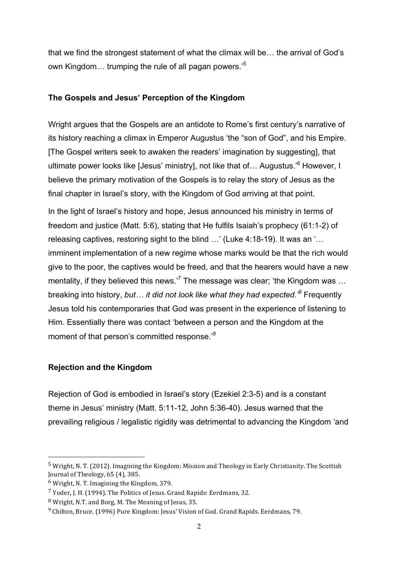that we find the strongest statement of what the climax will be… the arrival of God's own Kingdom… trumping the rule of all pagan powers.'<sup>5</sup>

#### **The Gospels and Jesus' Perception of the Kingdom**

Wright argues that the Gospels are an antidote to Rome's first century's narrative of its history reaching a climax in Emperor Augustus 'the "son of God", and his Empire. [The Gospel writers seek to awaken the readers' imagination by suggesting], that ultimate power looks like [Jesus' ministry], not like that of... Augustus.'<sup>6</sup> However, I believe the primary motivation of the Gospels is to relay the story of Jesus as the final chapter in Israel's story, with the Kingdom of God arriving at that point.

In the light of Israel's history and hope, Jesus announced his ministry in terms of freedom and justice (Matt. 5:6), stating that He fulfils Isaiah's prophecy (61:1-2) of releasing captives, restoring sight to the blind …' (Luke 4:18-19). It was an '… imminent implementation of a new regime whose marks would be that the rich would give to the poor, the captives would be freed, and that the hearers would have a new mentality, if they believed this news.<sup>7</sup> The message was clear; 'the Kingdom was ... breaking into history, *but… it did not look like what they had expected.'8* Frequently Jesus told his contemporaries that God was present in the experience of listening to Him. Essentially there was contact 'between a person and the Kingdom at the moment of that person's committed response.<sup>9</sup>

### **Rejection and the Kingdom**

Rejection of God is embodied in Israel's story (Ezekiel 2:3-5) and is a constant theme in Jesus' ministry (Matt. 5:11-12, John 5:36-40). Jesus warned that the prevailing religious / legalistic rigidity was detrimental to advancing the Kingdom 'and

 $^5$  Wright, N. T. (2012). Imagining the Kingdom: Mission and Theology in Early Christianity. The Scottish Journal of Theology, 65 (4), 385.

 $6$  Wright, N. T. Imagining the Kingdom, 379.

 $7$  Yoder, J. H. (1994). The Politics of Jesus. Grand Rapids: Eerdmans, 32.

<sup>&</sup>lt;sup>8</sup> Wright, N.T. and Borg, M. The Meaning of Jesus, 35.

<sup>&</sup>lt;sup>9</sup> Chilton. Bruce. (1996) Pure Kingdom: Jesus' Vision of God. Grand Rapids. Eerdmans, 79.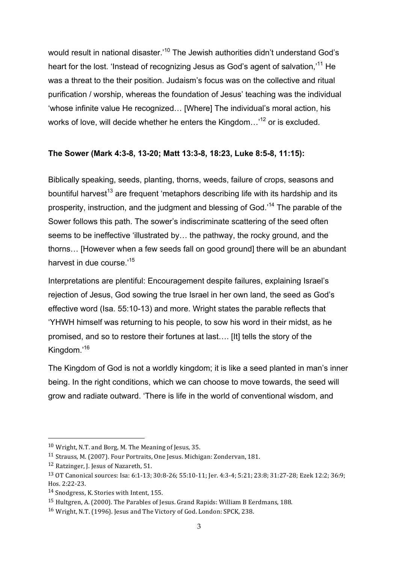would result in national disaster.<sup>10</sup> The Jewish authorities didn't understand God's heart for the lost. 'Instead of recognizing Jesus as God's agent of salvation,<sup>11</sup> He was a threat to the their position. Judaism's focus was on the collective and ritual purification / worship, whereas the foundation of Jesus' teaching was the individual 'whose infinite value He recognized… [Where] The individual's moral action, his works of love, will decide whether he enters the Kingdom...<sup>12</sup> or is excluded.

### **The Sower (Mark 4:3-8, 13-20; Matt 13:3-8, 18:23, Luke 8:5-8, 11:15):**

Biblically speaking, seeds, planting, thorns, weeds, failure of crops, seasons and bountiful harvest<sup>13</sup> are frequent 'metaphors describing life with its hardship and its prosperity, instruction, and the judgment and blessing of God.'14 The parable of the Sower follows this path. The sower's indiscriminate scattering of the seed often seems to be ineffective 'illustrated by… the pathway, the rocky ground, and the thorns… [However when a few seeds fall on good ground] there will be an abundant harvest in due course.'<sup>15</sup>

Interpretations are plentiful: Encouragement despite failures, explaining Israel's rejection of Jesus, God sowing the true Israel in her own land, the seed as God's effective word (Isa. 55:10-13) and more. Wright states the parable reflects that 'YHWH himself was returning to his people, to sow his word in their midst, as he promised, and so to restore their fortunes at last…. [It] tells the story of the Kingdom.'16

The Kingdom of God is not a worldly kingdom; it is like a seed planted in man's inner being. In the right conditions, which we can choose to move towards, the seed will grow and radiate outward. 'There is life in the world of conventional wisdom, and

 $10$  Wright, N.T. and Borg, M. The Meaning of Jesus, 35.

<sup>&</sup>lt;sup>11</sup> Strauss, M. (2007). Four Portraits, One Jesus. Michigan: Zondervan, 181.

<sup>&</sup>lt;sup>12</sup> Ratzinger, I. Jesus of Nazareth, 51.

<sup>&</sup>lt;sup>13</sup> OT Canonical sources: Isa: 6:1-13; 30:8-26; 55:10-11; Jer. 4:3-4; 5:21; 23:8; 31:27-28; Ezek 12:2; 36:9; Hos. 2:22-23.

<sup>14</sup> Snodgress, K. Stories with Intent, 155.

<sup>&</sup>lt;sup>15</sup> Hultgren, A. (2000). The Parables of Jesus. Grand Rapids: William B Eerdmans, 188.

<sup>&</sup>lt;sup>16</sup> Wright, N.T. (1996). Jesus and The Victory of God. London: SPCK, 238.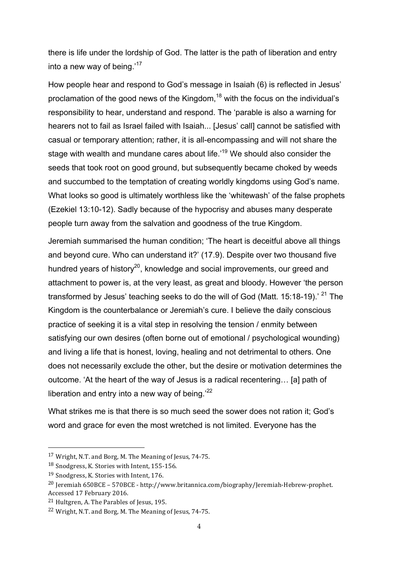there is life under the lordship of God. The latter is the path of liberation and entry into a new way of being.'<sup>17</sup>

How people hear and respond to God's message in Isaiah (6) is reflected in Jesus' proclamation of the good news of the Kingdom,<sup>18</sup> with the focus on the individual's responsibility to hear, understand and respond. The 'parable is also a warning for hearers not to fail as Israel failed with Isaiah... [Jesus' call] cannot be satisfied with casual or temporary attention; rather, it is all-encompassing and will not share the stage with wealth and mundane cares about life.<sup>19</sup> We should also consider the seeds that took root on good ground, but subsequently became choked by weeds and succumbed to the temptation of creating worldly kingdoms using God's name. What looks so good is ultimately worthless like the 'whitewash' of the false prophets (Ezekiel 13:10-12). Sadly because of the hypocrisy and abuses many desperate people turn away from the salvation and goodness of the true Kingdom.

Jeremiah summarised the human condition; 'The heart is deceitful above all things and beyond cure. Who can understand it?' (17.9). Despite over two thousand five hundred years of history<sup>20</sup>, knowledge and social improvements, our greed and attachment to power is, at the very least, as great and bloody. However 'the person transformed by Jesus' teaching seeks to do the will of God (Matt. 15:18-19).<sup>' 21</sup> The Kingdom is the counterbalance or Jeremiah's cure. I believe the daily conscious practice of seeking it is a vital step in resolving the tension / enmity between satisfying our own desires (often borne out of emotional / psychological wounding) and living a life that is honest, loving, healing and not detrimental to others. One does not necessarily exclude the other, but the desire or motivation determines the outcome. 'At the heart of the way of Jesus is a radical recentering… [a] path of liberation and entry into a new way of being.<sup>'22</sup>

What strikes me is that there is so much seed the sower does not ration it; God's word and grace for even the most wretched is not limited. Everyone has the

<sup>&</sup>lt;sup>17</sup> Wright, N.T. and Borg, M. The Meaning of Jesus, 74-75.

<sup>&</sup>lt;sup>18</sup> Snodgress, K. Stories with Intent, 155-156.

<sup>&</sup>lt;sup>19</sup> Snodgress, K. Stories with Intent, 176.

 $^{20}$  Jeremiah 650BCE – 570BCE - http://www.britannica.com/biography/Jeremiah-Hebrew-prophet. Accessed 17 February 2016.

<sup>&</sup>lt;sup>21</sup> Hultgren, A. The Parables of Jesus, 195.

<sup>&</sup>lt;sup>22</sup> Wright, N.T. and Borg, M. The Meaning of Jesus, 74-75.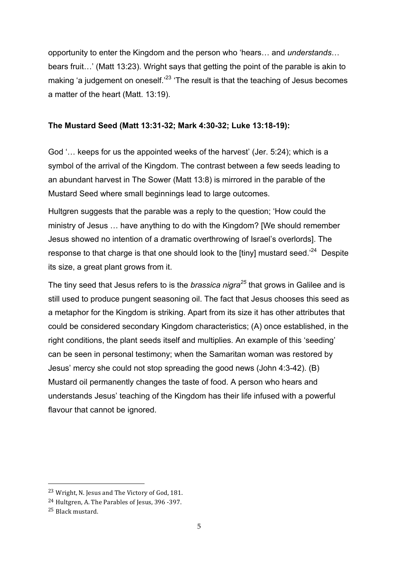opportunity to enter the Kingdom and the person who 'hears… and *understands*… bears fruit…' (Matt 13:23). Wright says that getting the point of the parable is akin to making 'a judgement on oneself.<sup>23</sup> 'The result is that the teaching of Jesus becomes a matter of the heart (Matt. 13:19).

#### **The Mustard Seed (Matt 13:31-32; Mark 4:30-32; Luke 13:18-19):**

God '… keeps for us the appointed weeks of the harvest' (Jer. 5:24); which is a symbol of the arrival of the Kingdom. The contrast between a few seeds leading to an abundant harvest in The Sower (Matt 13:8) is mirrored in the parable of the Mustard Seed where small beginnings lead to large outcomes.

Hultgren suggests that the parable was a reply to the question; 'How could the ministry of Jesus … have anything to do with the Kingdom? [We should remember Jesus showed no intention of a dramatic overthrowing of Israel's overlords]. The response to that charge is that one should look to the [tiny] mustard seed.<sup>'24</sup> Despite its size, a great plant grows from it.

The tiny seed that Jesus refers to is the *brassica nigra<sup>25</sup>* that grows in Galilee and is still used to produce pungent seasoning oil. The fact that Jesus chooses this seed as a metaphor for the Kingdom is striking. Apart from its size it has other attributes that could be considered secondary Kingdom characteristics; (A) once established, in the right conditions, the plant seeds itself and multiplies. An example of this 'seeding' can be seen in personal testimony; when the Samaritan woman was restored by Jesus' mercy she could not stop spreading the good news (John 4:3-42). (B) Mustard oil permanently changes the taste of food. A person who hears and understands Jesus' teaching of the Kingdom has their life infused with a powerful flavour that cannot be ignored.

<sup>&</sup>lt;sup>23</sup> Wright, N. Jesus and The Victory of God, 181.

<sup>&</sup>lt;sup>24</sup> Hultgren, A. The Parables of Jesus, 396 -397.

<sup>25</sup> Black mustard.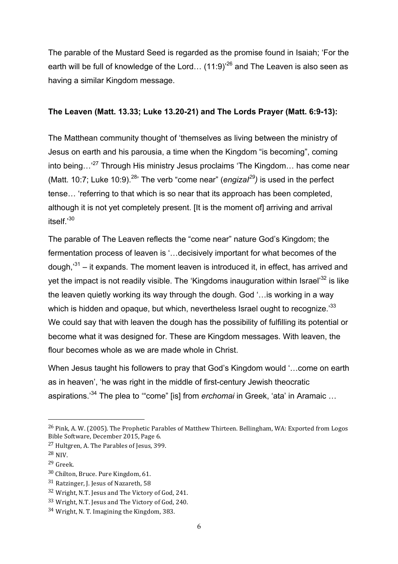The parable of the Mustard Seed is regarded as the promise found in Isaiah; 'For the earth will be full of knowledge of the Lord...  $(11.9)^{26}$  and The Leaven is also seen as having a similar Kingdom message.

#### **The Leaven (Matt. 13.33; Luke 13.20-21) and The Lords Prayer (Matt. 6:9-13):**

The Matthean community thought of 'themselves as living between the ministry of Jesus on earth and his parousia, a time when the Kingdom "is becoming", coming into being...<sup>27</sup> Through His ministry Jesus proclaims 'The Kingdom... has come near (Matt. 10:7; Luke 10:9). 28' The verb "come near" (*engizaI29)* is used in the perfect tense… 'referring to that which is so near that its approach has been completed, although it is not yet completely present. [It is the moment of] arriving and arrival itself.'<sup>30</sup>

The parable of The Leaven reflects the "come near" nature God's Kingdom; the fermentation process of leaven is '…decisively important for what becomes of the dough,<sup>31</sup> – it expands. The moment leaven is introduced it, in effect, has arrived and yet the impact is not readily visible. The 'Kingdoms inauguration within Israel<sup>32</sup> is like the leaven quietly working its way through the dough. God '…is working in a way which is hidden and opaque, but which, nevertheless Israel ought to recognize.<sup>33</sup> We could say that with leaven the dough has the possibility of fulfilling its potential or become what it was designed for. These are Kingdom messages. With leaven, the flour becomes whole as we are made whole in Christ.

When Jesus taught his followers to pray that God's Kingdom would '…come on earth as in heaven', 'he was right in the middle of first-century Jewish theocratic aspirations.' <sup>34</sup> The plea to '"come" [is] from *erchomai* in Greek, 'ata' in Aramaic …

<sup>&</sup>lt;sup>26</sup> Pink, A. W. (2005). The Prophetic Parables of Matthew Thirteen. Bellingham, WA: Exported from Logos Bible Software, December 2015, Page 6.

<sup>&</sup>lt;sup>27</sup> Hultgren, A. The Parables of Jesus, 399.

<sup>28</sup> NIV.

<sup>29</sup> Greek.

<sup>30</sup> Chilton, Bruce. Pure Kingdom, 61.

 $31$  Ratzinger, J. Jesus of Nazareth, 58

<sup>32</sup> Wright, N.T. Jesus and The Victory of God, 241.

<sup>33</sup> Wright, N.T. Jesus and The Victory of God, 240.

<sup>34</sup> Wright, N. T. Imagining the Kingdom, 383.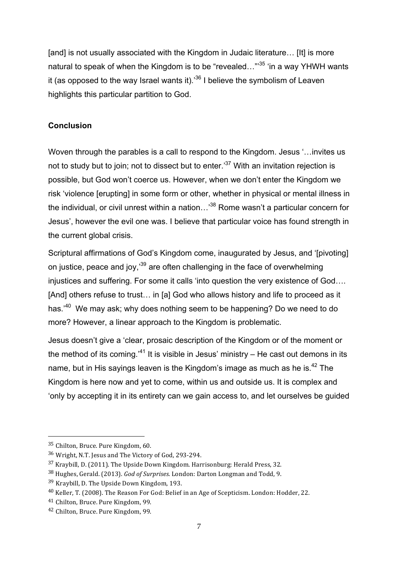[and] is not usually associated with the Kingdom in Judaic literature... [It] is more natural to speak of when the Kingdom is to be "revealed..."'<sup>35</sup> 'in a way YHWH wants it (as opposed to the way Israel wants it). $36$  I believe the symbolism of Leaven highlights this particular partition to God.

## **Conclusion**

Woven through the parables is a call to respond to the Kingdom. Jesus '…invites us not to study but to join; not to dissect but to enter.<sup>37</sup> With an invitation rejection is possible, but God won't coerce us. However, when we don't enter the Kingdom we risk 'violence [erupting] in some form or other, whether in physical or mental illness in the individual, or civil unrest within a nation...<sup>38</sup> Rome wasn't a particular concern for Jesus', however the evil one was. I believe that particular voice has found strength in the current global crisis.

Scriptural affirmations of God's Kingdom come, inaugurated by Jesus, and '[pivoting] on justice, peace and joy,'39 are often challenging in the face of overwhelming injustices and suffering. For some it calls 'into question the very existence of God…. [And] others refuse to trust... in [a] God who allows history and life to proceed as it has.<sup>40</sup> We may ask; why does nothing seem to be happening? Do we need to do more? However, a linear approach to the Kingdom is problematic.

Jesus doesn't give a 'clear, prosaic description of the Kingdom or of the moment or the method of its coming.'<sup>41</sup> It is visible in Jesus' ministry – He cast out demons in its name, but in His sayings leaven is the Kingdom's image as much as he is.<sup>42</sup> The Kingdom is here now and yet to come, within us and outside us. It is complex and 'only by accepting it in its entirety can we gain access to, and let ourselves be guided

<sup>&</sup>lt;sup>35</sup> Chilton, Bruce. Pure Kingdom, 60.

<sup>&</sup>lt;sup>36</sup> Wright, N.T. Jesus and The Victory of God, 293-294.

 $37$  Kraybill, D. (2011). The Upside Down Kingdom. Harrisonburg: Herald Press, 32.

<sup>&</sup>lt;sup>38</sup> Hughes, Gerald. (2013). *God of Surprises*. London: Darton Longman and Todd. 9.

<sup>39</sup> Kraybill, D. The Upside Down Kingdom, 193.

<sup>&</sup>lt;sup>40</sup> Keller, T. (2008). The Reason For God: Belief in an Age of Scepticism. London: Hodder, 22.

<sup>&</sup>lt;sup>41</sup> Chilton, Bruce. Pure Kingdom, 99.

<sup>&</sup>lt;sup>42</sup> Chilton, Bruce. Pure Kingdom, 99.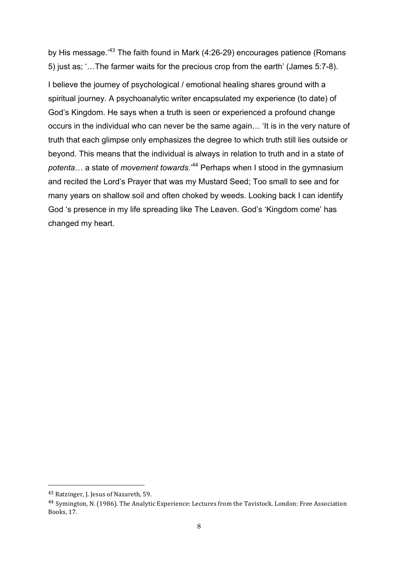by His message.<sup>,43</sup> The faith found in Mark (4:26-29) encourages patience (Romans 5) just as; '…The farmer waits for the precious crop from the earth' (James 5:7-8).

I believe the journey of psychological / emotional healing shares ground with a spiritual journey. A psychoanalytic writer encapsulated my experience (to date) of God's Kingdom. He says when a truth is seen or experienced a profound change occurs in the individual who can never be the same again… 'It is in the very nature of truth that each glimpse only emphasizes the degree to which truth still lies outside or beyond. This means that the individual is always in relation to truth and in a state of *potenta*… a state of *movement towards*.'<sup>44</sup> Perhaps when I stood in the gymnasium and recited the Lord's Prayer that was my Mustard Seed; Too small to see and for many years on shallow soil and often choked by weeds. Looking back I can identify God 's presence in my life spreading like The Leaven. God's 'Kingdom come' has changed my heart.

<sup>&</sup>lt;sup>43</sup> Ratzinger, J. Jesus of Nazareth, 59.

<sup>&</sup>lt;sup>44</sup> Symington, N. (1986). The Analytic Experience: Lectures from the Tavistock. London: Free Association Books, 17.